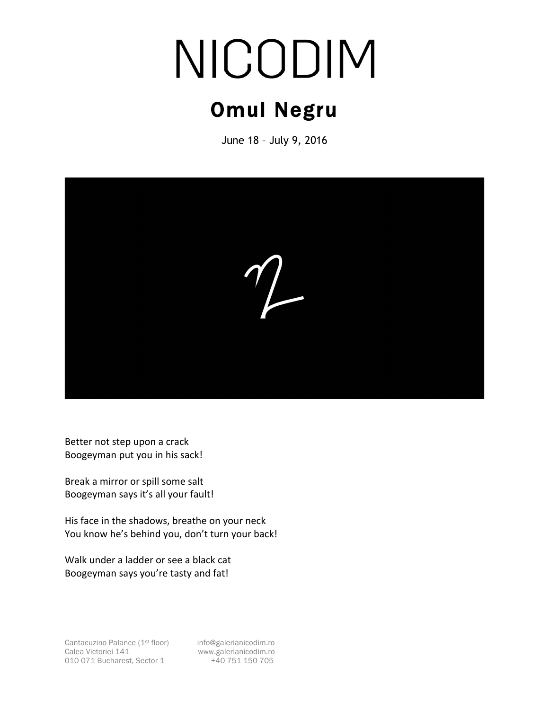## NICODIM

## Omul Negru

June 18 – July 9, 2016



Better not step upon a crack Boogeyman put you in his sack!

Break a mirror or spill some salt Boogeyman says it's all your fault!

His face in the shadows, breathe on your neck You know he's behind you, don't turn your back!

Walk under a ladder or see a black cat Boogeyman says you're tasty and fat!

Cantacuzino Palance (1<sup>st</sup> floor) info@galerianicodim.ro Calea Victoriei 141 www.galerianicodim.ro<br>010 071 Bucharest, Sector 1 +40 751 150 705 010 071 Bucharest, Sector 1